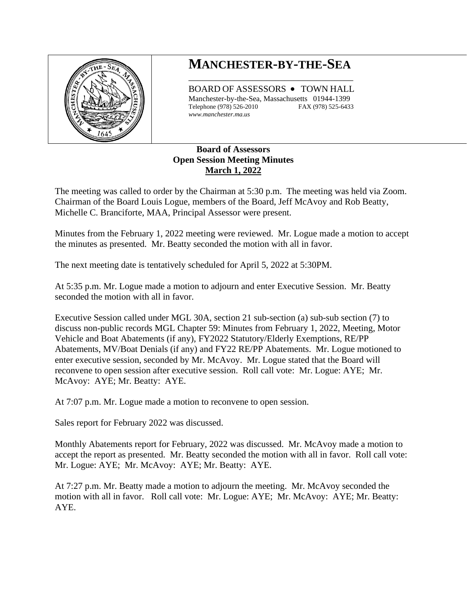

# **MANCHESTER-BY-THE-SEA** \_\_\_\_\_\_\_\_\_\_\_\_\_\_\_\_\_\_\_\_\_\_\_\_\_\_\_\_\_\_\_\_\_\_\_\_

BOARD OF ASSESSORS • TOWN HALL Manchester-by-the-Sea, Massachusetts 01944-1399 Telephone (978) 526-2010 FAX (978) 525-6433 *www.manchester.ma.us*

## **Board of Assessors Open Session Meeting Minutes March 1, 2022**

The meeting was called to order by the Chairman at 5:30 p.m. The meeting was held via Zoom. Chairman of the Board Louis Logue, members of the Board, Jeff McAvoy and Rob Beatty, Michelle C. Branciforte, MAA, Principal Assessor were present.

Minutes from the February 1, 2022 meeting were reviewed. Mr. Logue made a motion to accept the minutes as presented. Mr. Beatty seconded the motion with all in favor.

The next meeting date is tentatively scheduled for April 5, 2022 at 5:30PM.

At 5:35 p.m. Mr. Logue made a motion to adjourn and enter Executive Session. Mr. Beatty seconded the motion with all in favor.

Executive Session called under MGL 30A, section 21 sub-section (a) sub-sub section (7) to discuss non-public records MGL Chapter 59: Minutes from February 1, 2022, Meeting, Motor Vehicle and Boat Abatements (if any), FY2022 Statutory/Elderly Exemptions, RE/PP Abatements, MV/Boat Denials (if any) and FY22 RE/PP Abatements. Mr. Logue motioned to enter executive session, seconded by Mr. McAvoy. Mr. Logue stated that the Board will reconvene to open session after executive session. Roll call vote: Mr. Logue: AYE; Mr. McAvoy: AYE; Mr. Beatty: AYE.

At 7:07 p.m. Mr. Logue made a motion to reconvene to open session.

Sales report for February 2022 was discussed.

Monthly Abatements report for February, 2022 was discussed. Mr. McAvoy made a motion to accept the report as presented. Mr. Beatty seconded the motion with all in favor. Roll call vote: Mr. Logue: AYE; Mr. McAvoy: AYE; Mr. Beatty: AYE.

At 7:27 p.m. Mr. Beatty made a motion to adjourn the meeting. Mr. McAvoy seconded the motion with all in favor. Roll call vote: Mr. Logue: AYE; Mr. McAvoy: AYE; Mr. Beatty: AYE.